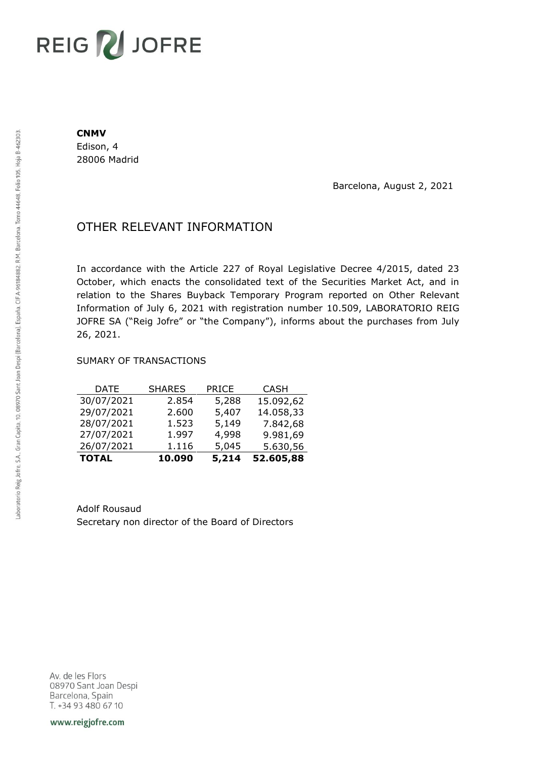# REIG V JOFRE

#### **CNMV**

Edison, 4 28006 Madrid

Barcelona, August 2, 2021

## OTHER RELEVANT INFORMATION

In accordance with the Article 227 of Royal Legislative Decree 4/2015, dated 23 October, which enacts the consolidated text of the Securities Market Act, and in relation to the Shares Buyback Temporary Program reported on Other Relevant Information of July 6, 2021 with registration number 10.509, LABORATORIO REIG JOFRE SA ("Reig Jofre" or "the Company"), informs about the purchases from July 26, 2021.

### SUMARY OF TRANSACTIONS

| <b>TOTAL</b> | 10.090        | 5,214        | 52.605,88   |
|--------------|---------------|--------------|-------------|
| 26/07/2021   | 1.116         | 5,045        | 5.630,56    |
| 27/07/2021   | 1.997         | 4,998        | 9.981,69    |
| 28/07/2021   | 1.523         | 5,149        | 7.842,68    |
| 29/07/2021   | 2.600         | 5,407        | 14.058,33   |
| 30/07/2021   | 2.854         | 5,288        | 15.092,62   |
| <b>DATE</b>  | <b>SHARES</b> | <b>PRICE</b> | <b>CASH</b> |

Adolf Rousaud Secretary non director of the Board of Directors

Av. de les Flors 08970 Sant Joan Despi Barcelona, Spain T. +34 93 480 67 10

www.reigjofre.com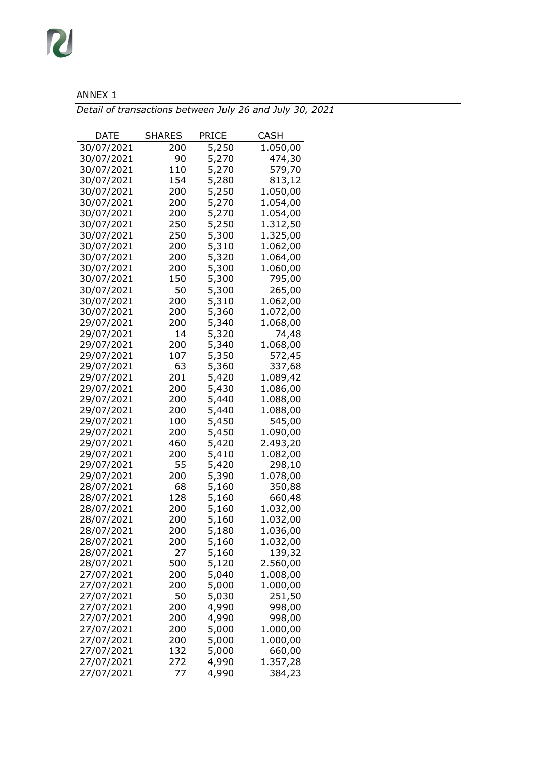## ANNEX 1

R

*Detail of transactions between July 26 and July 30, 2021*

| DATE                     | SHARES     | PRICE          | CASH                 |
|--------------------------|------------|----------------|----------------------|
| 30/07/2021               | 200        | 5,250          | 1.050,00             |
| 30/07/2021               | 90         | 5,270          | 474,30               |
| 30/07/2021               | 110        | 5,270          | 579,70               |
| 30/07/2021               | 154        | 5,280          | 813,12               |
| 30/07/2021               | 200        | 5,250          | 1.050,00             |
| 30/07/2021               | 200        | 5,270          | 1.054,00             |
| 30/07/2021               | 200        | 5,270          | 1.054,00             |
| 30/07/2021               | 250        | 5,250          | 1.312,50             |
| 30/07/2021               | 250        | 5,300          | 1.325,00             |
| 30/07/2021               | 200        | 5,310          | 1.062,00             |
| 30/07/2021               | 200        | 5,320          | 1.064,00             |
| 30/07/2021               | 200        | 5,300          | 1.060,00             |
| 30/07/2021               | 150        | 5,300          | 795,00               |
| 30/07/2021               | 50         | 5,300          | 265,00               |
| 30/07/2021               | 200        | 5,310          | 1.062,00             |
| 30/07/2021               | 200        | 5,360          | 1.072,00             |
| 29/07/2021               | 200        | 5,340          | 1.068,00             |
| 29/07/2021               | 14         | 5,320          | 74,48                |
| 29/07/2021               | 200        | 5,340          | 1.068,00             |
| 29/07/2021               | 107        | 5,350          | 572,45               |
| 29/07/2021               | 63         | 5,360          | 337,68               |
| 29/07/2021               | 201        | 5,420          | 1.089,42             |
| 29/07/2021               | 200        | 5,430          | 1.086,00             |
| 29/07/2021               | 200        | 5,440          | 1.088,00             |
| 29/07/2021               | 200        | 5,440          | 1.088,00             |
| 29/07/2021               | 100        | 5,450          | 545,00               |
| 29/07/2021               | 200        | 5,450          | 1.090,00             |
| 29/07/2021               | 460        | 5,420          | 2.493,20             |
| 29/07/2021               | 200        | 5,410          | 1.082,00             |
| 29/07/2021               | 55         | 5,420          | 298,10               |
| 29/07/2021               | 200        | 5,390          | 1.078,00             |
| 28/07/2021               | 68         | 5,160          | 350,88               |
| 28/07/2021               | 128        | 5,160          | 660,48               |
| 28/07/2021               | 200        | 5,160          | 1.032,00             |
| 28/07/2021               | 200        | 5,160          | 1.032,00             |
| 28/07/2021               | 200        | 5,180          | 1.036,00             |
| 28/07/2021               | 200        | 5,160          | 1.032,00             |
| 28/07/2021               | 27         | 5,160<br>5,120 | 139,32               |
| 28/07/2021               | 500<br>200 | 5,040          | 2.560,00<br>1.008,00 |
| 27/07/2021<br>27/07/2021 | 200        |                | 1.000,00             |
| 27/07/2021               | 50         | 5,000<br>5,030 | 251,50               |
| 27/07/2021               | 200        | 4,990          | 998,00               |
| 27/07/2021               | 200        | 4,990          | 998,00               |
| 27/07/2021               | 200        | 5,000          | 1.000,00             |
| 27/07/2021               | 200        | 5,000          | 1.000,00             |
| 27/07/2021               | 132        | 5,000          | 660,00               |
| 27/07/2021               | 272        | 4,990          | 1.357,28             |
| 27/07/2021               | 77         | 4,990          | 384,23               |
|                          |            |                |                      |